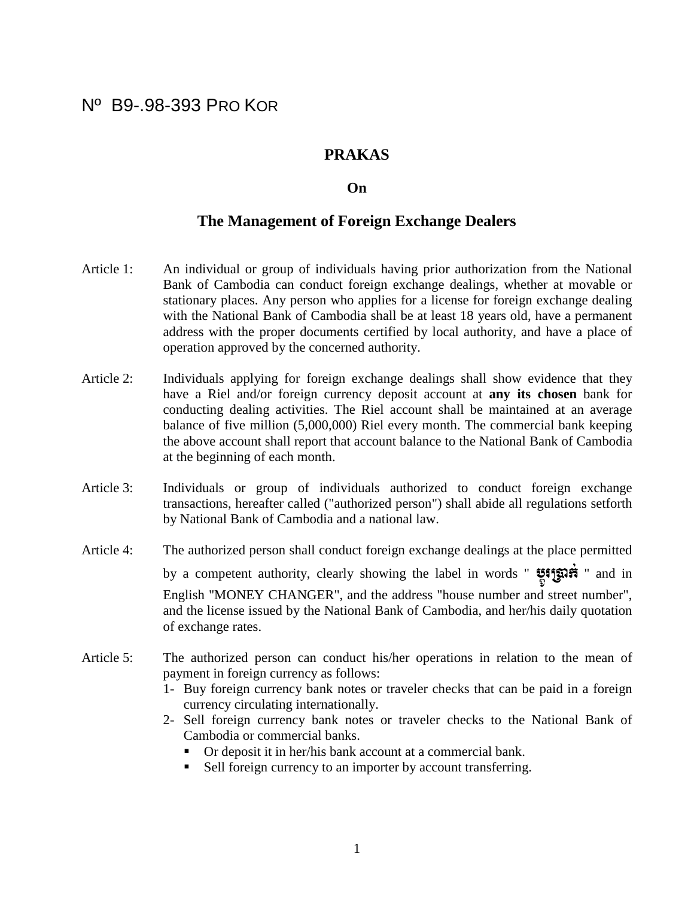## Nº B9-.98-393 PRO KOR

## **PRAKAS**

## **On**

## **The Management of Foreign Exchange Dealers**

- Article 1: An individual or group of individuals having prior authorization from the National Bank of Cambodia can conduct foreign exchange dealings, whether at movable or stationary places. Any person who applies for a license for foreign exchange dealing with the National Bank of Cambodia shall be at least 18 years old, have a permanent address with the proper documents certified by local authority, and have a place of operation approved by the concerned authority.
- Article 2: Individuals applying for foreign exchange dealings shall show evidence that they have a Riel and/or foreign currency deposit account at **any its chosen** bank for conducting dealing activities. The Riel account shall be maintained at an average balance of five million (5,000,000) Riel every month. The commercial bank keeping the above account shall report that account balance to the National Bank of Cambodia at the beginning of each month.
- Article 3: Individuals or group of individuals authorized to conduct foreign exchange transactions, hereafter called ("authorized person") shall abide all regulations setforth by National Bank of Cambodia and a national law.
- Article 4: The authorized person shall conduct foreign exchange dealings at the place permitted by a competent authority, clearly showing the label in words " the URISON TO and in English "MONEY CHANGER", and the address "house number and street number", and the license issued by the National Bank of Cambodia, and her/his daily quotation of exchange rates.
- Article 5: The authorized person can conduct his/her operations in relation to the mean of payment in foreign currency as follows:
	- 1- Buy foreign currency bank notes or traveler checks that can be paid in a foreign currency circulating internationally.
	- 2- Sell foreign currency bank notes or traveler checks to the National Bank of Cambodia or commercial banks.
		- Or deposit it in her/his bank account at a commercial bank.
		- Sell foreign currency to an importer by account transferring.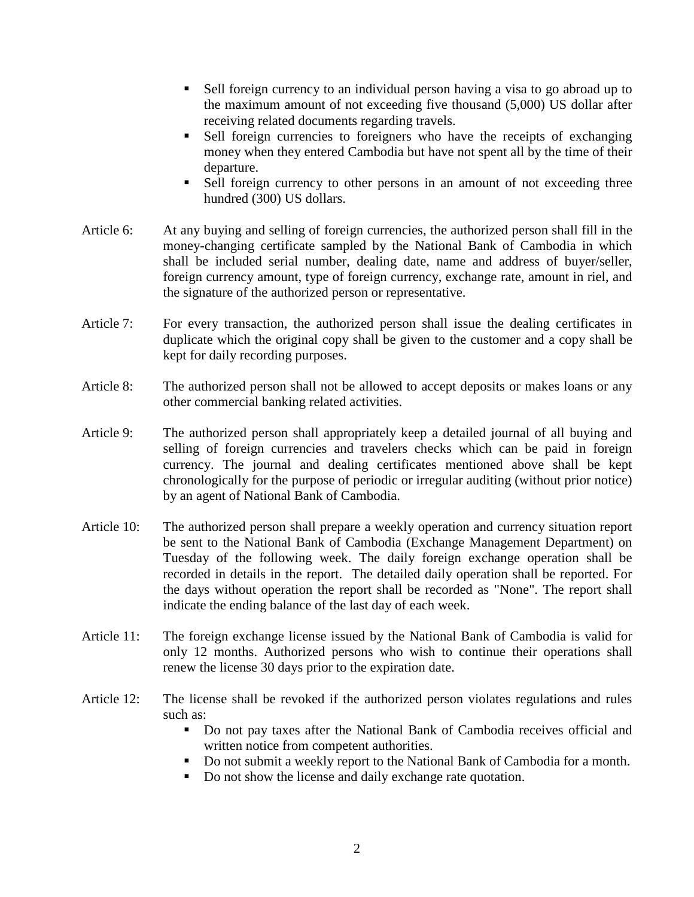- Sell foreign currency to an individual person having a visa to go abroad up to the maximum amount of not exceeding five thousand (5,000) US dollar after receiving related documents regarding travels.
- Sell foreign currencies to foreigners who have the receipts of exchanging money when they entered Cambodia but have not spent all by the time of their departure.
- Sell foreign currency to other persons in an amount of not exceeding three hundred (300) US dollars.
- Article 6: At any buying and selling of foreign currencies, the authorized person shall fill in the money-changing certificate sampled by the National Bank of Cambodia in which shall be included serial number, dealing date, name and address of buyer/seller, foreign currency amount, type of foreign currency, exchange rate, amount in riel, and the signature of the authorized person or representative.
- Article 7: For every transaction, the authorized person shall issue the dealing certificates in duplicate which the original copy shall be given to the customer and a copy shall be kept for daily recording purposes.
- Article 8: The authorized person shall not be allowed to accept deposits or makes loans or any other commercial banking related activities.
- Article 9: The authorized person shall appropriately keep a detailed journal of all buying and selling of foreign currencies and travelers checks which can be paid in foreign currency. The journal and dealing certificates mentioned above shall be kept chronologically for the purpose of periodic or irregular auditing (without prior notice) by an agent of National Bank of Cambodia.
- Article 10: The authorized person shall prepare a weekly operation and currency situation report be sent to the National Bank of Cambodia (Exchange Management Department) on Tuesday of the following week. The daily foreign exchange operation shall be recorded in details in the report. The detailed daily operation shall be reported. For the days without operation the report shall be recorded as "None". The report shall indicate the ending balance of the last day of each week.
- Article 11: The foreign exchange license issued by the National Bank of Cambodia is valid for only 12 months. Authorized persons who wish to continue their operations shall renew the license 30 days prior to the expiration date.
- Article 12: The license shall be revoked if the authorized person violates regulations and rules such as:
	- Do not pay taxes after the National Bank of Cambodia receives official and written notice from competent authorities.
	- Do not submit a weekly report to the National Bank of Cambodia for a month.
	- Do not show the license and daily exchange rate quotation.